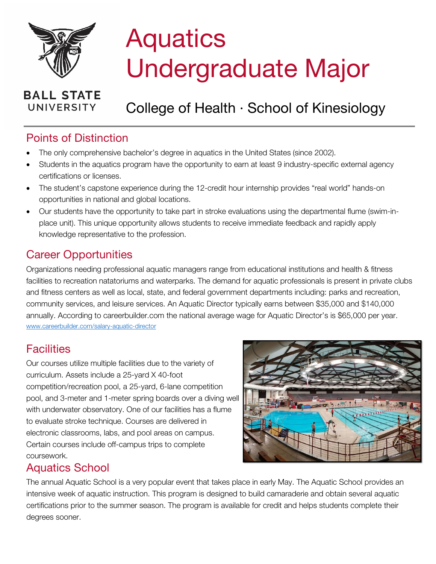

# **Aquatics** Undergraduate Major

#### **BALL STATE UNIVERSITY**

## College of Health · School of Kinesiology

## Points of Distinction

- The only comprehensive bachelor's degree in aquatics in the United States (since 2002).
- Students in the aquatics program have the opportunity to earn at least 9 industry-specific external agency certifications or licenses.
- The student's capstone experience during the 12-credit hour internship provides "real world" hands-on opportunities in national and global locations.
- Our students have the opportunity to take part in stroke evaluations using the departmental flume (swim-inplace unit). This unique opportunity allows students to receive immediate feedback and rapidly apply knowledge representative to the profession.

#### Career Opportunities

Organizations needing professional aquatic managers range from educational institutions and health & fitness facilities to recreation natatoriums and waterparks. The demand for aquatic professionals is present in private clubs and fitness centers as well as local, state, and federal government departments including: parks and recreation, community services, and leisure services. An Aquatic Director typically earns between \$35,000 and \$140,000 annually. According to careerbuilder.com the national average wage for Aquatic Director's is \$65,000 per year. [www.careerbuilder.com/salary-aquatic-director](http://www.careerbuilder.com/salary-aquatic-director)

## **Facilities**

Our courses utilize multiple facilities due to the variety of curriculum. Assets include a 25-yard X 40-foot competition/recreation pool, a 25-yard, 6-lane competition pool, and 3-meter and 1-meter spring boards over a diving well with underwater observatory. One of our facilities has a flume to evaluate stroke technique. Courses are delivered in electronic classrooms, labs, and pool areas on campus. Certain courses include off-campus trips to complete coursework.



## Aquatics School

The annual Aquatic School is a very popular event that takes place in early May. The Aquatic School provides an intensive week of aquatic instruction. This program is designed to build camaraderie and obtain several aquatic certifications prior to the summer season. The program is available for credit and helps students complete their degrees sooner.